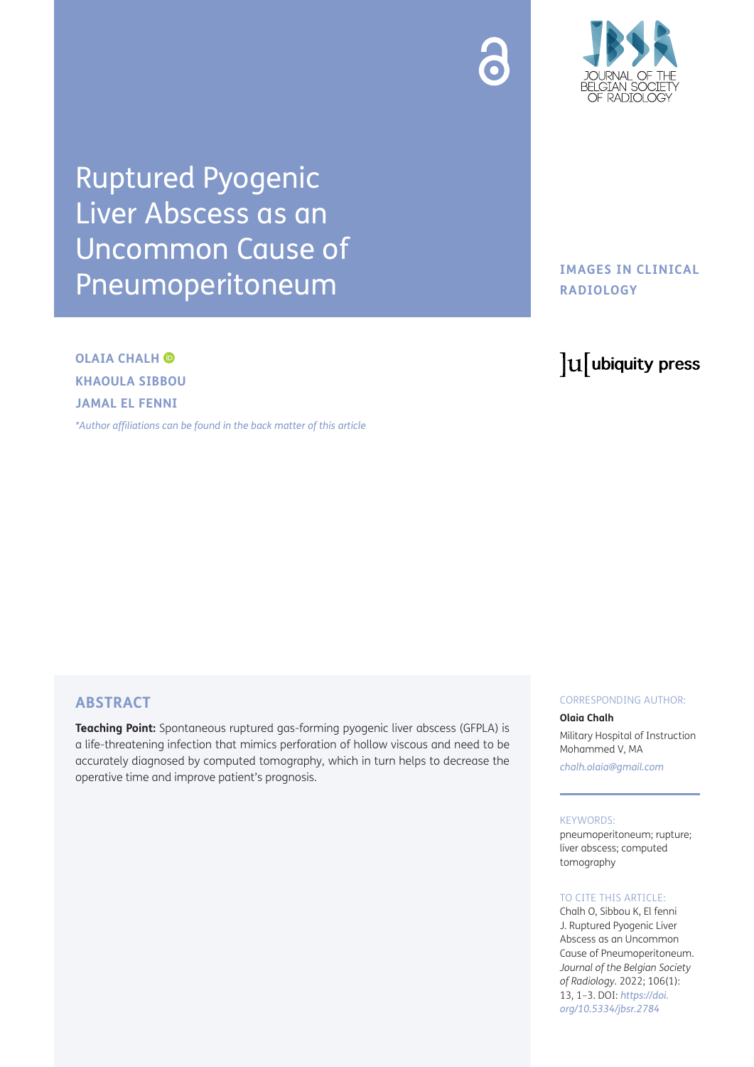



Ruptured Pyogenic Liver Abscess as an Uncommon Cause of Pneumoperitoneum

**OLAIA CHALH KHAOULA SIBBOU JAMAL EL FENNI** 

*[\\*Author affiliations can be found in the back matter of this article](#page-2-0)*

## **IMAGES IN CLINICAL RADIOLOGY**

# lu ubiquity press

## **ABSTRACT**

**Teaching Point:** Spontaneous ruptured gas-forming pyogenic liver abscess (GFPLA) is a life-threatening infection that mimics perforation of hollow viscous and need to be accurately diagnosed by computed tomography, which in turn helps to decrease the operative time and improve patient's prognosis.

#### CORRESPONDING AUTHOR:

#### **Olaia Chalh**

Military Hospital of Instruction Mohammed V, MA *[chalh.olaia@gmail.com](mailto:chalh.olaia@gmail.com)*

#### KEYWORDS:

pneumoperitoneum; rupture; liver abscess; computed tomography

## TO CITE THIS ARTICLE:

Chalh O, Sibbou K, El fenni J. Ruptured Pyogenic Liver Abscess as an Uncommon Cause of Pneumoperitoneum. *Journal of the Belgian Society of Radiology.* 2022; 106(1): 13, 1–3. DOI: *[https://doi.](https://doi.org/10.5334/jbsr.2784) [org/10.5334/jbsr.2784](https://doi.org/10.5334/jbsr.2784)*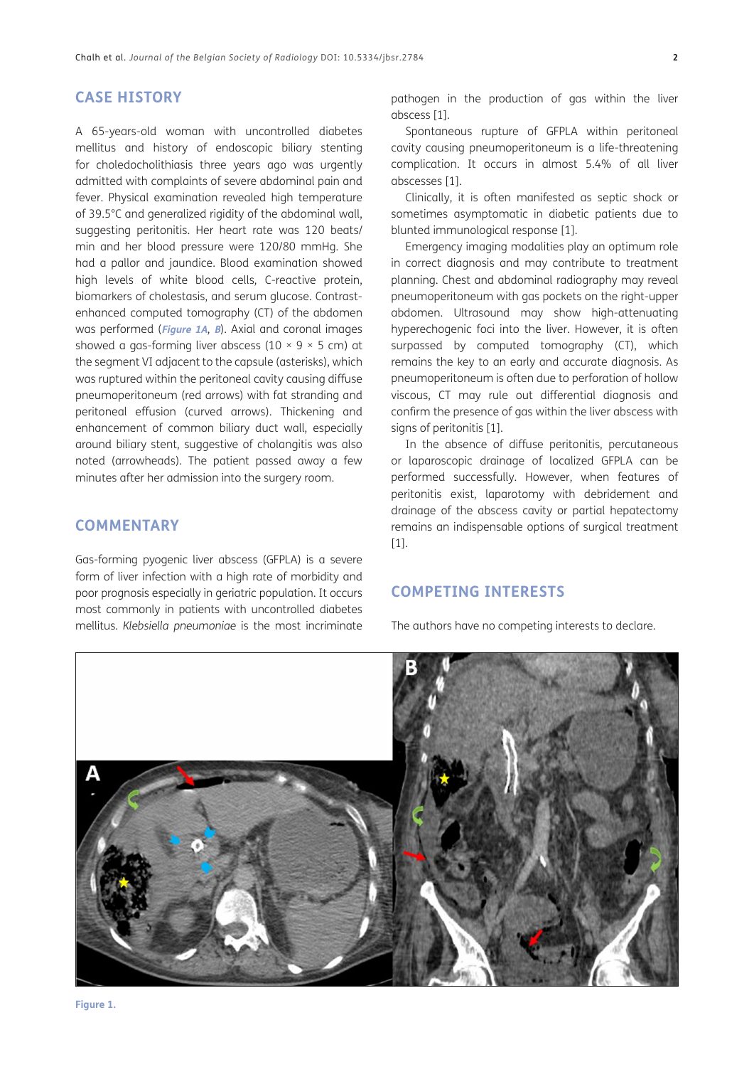## **CASE HISTORY**

A 65-years-old woman with uncontrolled diabetes mellitus and history of endoscopic biliary stenting for choledocholithiasis three years ago was urgently admitted with complaints of severe abdominal pain and fever. Physical examination revealed high temperature of 39.5°C and generalized rigidity of the abdominal wall, suggesting peritonitis. Her heart rate was 120 beats/ min and her blood pressure were 120/80 mmHg. She had a pallor and jaundice. Blood examination showed high levels of white blood cells, C-reactive protein, biomarkers of cholestasis, and serum glucose. Contrastenhanced computed tomography (CT) of the abdomen was performed (**[Figure 1A](#page-1-0)**, **B**). Axial and coronal images showed a gas-forming liver abscess (10  $\times$  9  $\times$  5 cm) at the segment VI adjacent to the capsule (asterisks), which was ruptured within the peritoneal cavity causing diffuse pneumoperitoneum (red arrows) with fat stranding and peritoneal effusion (curved arrows). Thickening and enhancement of common biliary duct wall, especially around biliary stent, suggestive of cholangitis was also noted (arrowheads). The patient passed away a few minutes after her admission into the surgery room.

## **COMMENTARY**

Gas-forming pyogenic liver abscess (GFPLA) is a severe form of liver infection with a high rate of morbidity and poor prognosis especially in geriatric population. It occurs most commonly in patients with uncontrolled diabetes mellitus. *Klebsiella pneumoniae* is the most incriminate pathogen in the production of gas within the liver abscess [\[1](#page-2-1)].

Spontaneous rupture of GFPLA within peritoneal cavity causing pneumoperitoneum is a life-threatening complication. It occurs in almost 5.4% of all liver abscesses [[1\]](#page-2-1).

Clinically, it is often manifested as septic shock or sometimes asymptomatic in diabetic patients due to blunted immunological response [[1](#page-2-1)].

Emergency imaging modalities play an optimum role in correct diagnosis and may contribute to treatment planning. Chest and abdominal radiography may reveal pneumoperitoneum with gas pockets on the right-upper abdomen. Ultrasound may show high-attenuating hyperechogenic foci into the liver. However, it is often surpassed by computed tomography (CT), which remains the key to an early and accurate diagnosis. As pneumoperitoneum is often due to perforation of hollow viscous, CT may rule out differential diagnosis and confirm the presence of gas within the liver abscess with signs of peritonitis [\[1](#page-2-1)].

In the absence of diffuse peritonitis, percutaneous or laparoscopic drainage of localized GFPLA can be performed successfully. However, when features of peritonitis exist, laparotomy with debridement and drainage of the abscess cavity or partial hepatectomy remains an indispensable options of surgical treatment [[1](#page-2-1)].

## **COMPETING INTERESTS**

The authors have no competing interests to declare.

<span id="page-1-0"></span>